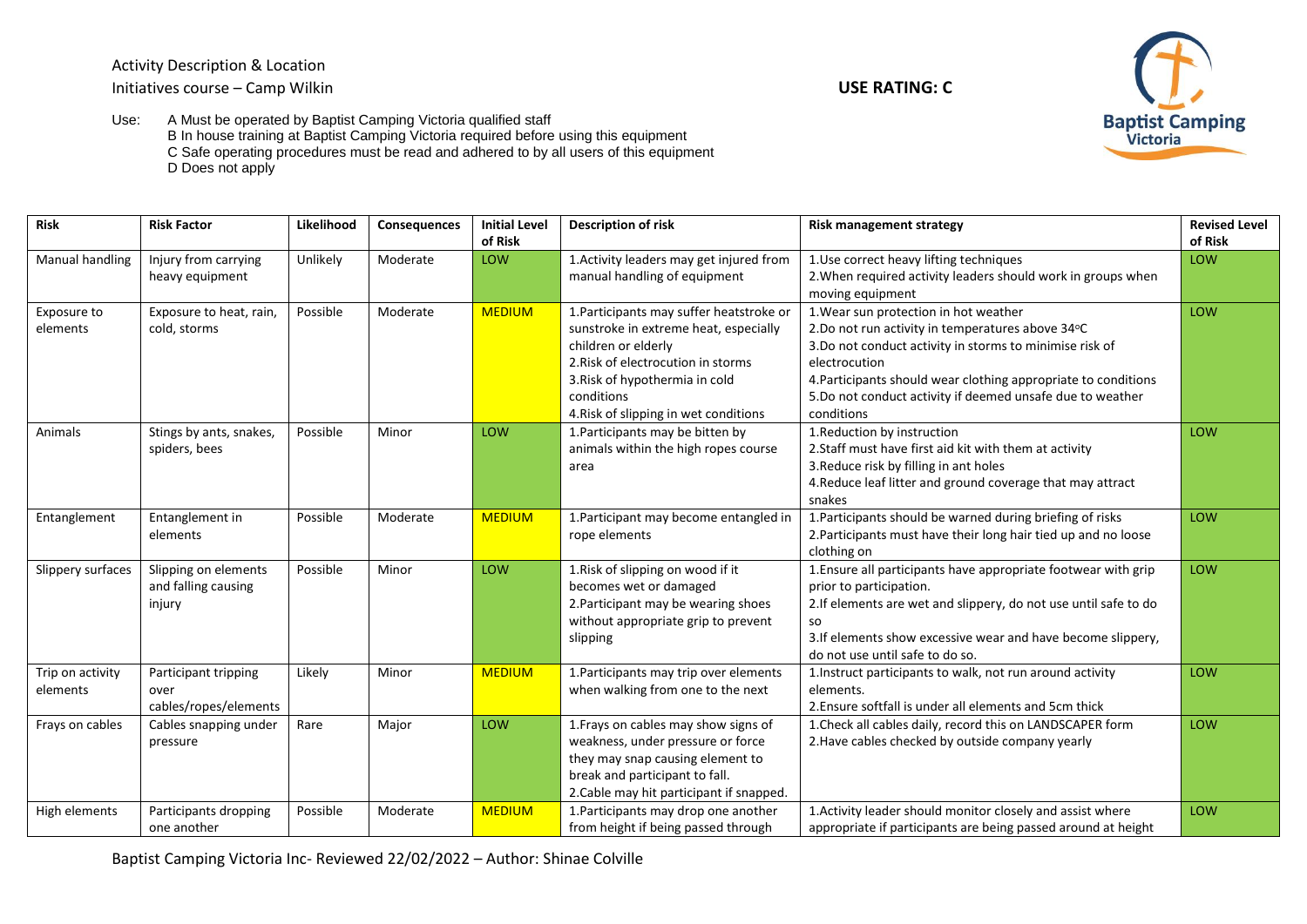Activity Description & Location Initiatives course – Camp Wilkin **USE RATING: C**



Use: A Must be operated by Baptist Camping Victoria qualified staff B In house training at Baptist Camping Victoria required before using this equipment C Safe operating procedures must be read and adhered to by all users of this equipment D Does not apply

| <b>Risk</b>       | <b>Risk Factor</b>      | Likelihood | Consequences | <b>Initial Level</b> | <b>Description of risk</b>               | <b>Risk management strategy</b>                                  | <b>Revised Level</b> |
|-------------------|-------------------------|------------|--------------|----------------------|------------------------------------------|------------------------------------------------------------------|----------------------|
|                   |                         |            |              | of Risk              |                                          |                                                                  | of Risk              |
| Manual handling   | Injury from carrying    | Unlikely   | Moderate     | LOW                  | 1. Activity leaders may get injured from | 1. Use correct heavy lifting techniques                          | LOW                  |
|                   | heavy equipment         |            |              |                      | manual handling of equipment             | 2. When required activity leaders should work in groups when     |                      |
|                   |                         |            |              |                      |                                          | moving equipment                                                 |                      |
| Exposure to       | Exposure to heat, rain, | Possible   | Moderate     | <b>MEDIUM</b>        | 1. Participants may suffer heatstroke or | 1. Wear sun protection in hot weather                            | LOW                  |
| elements          | cold, storms            |            |              |                      | sunstroke in extreme heat, especially    | 2.Do not run activity in temperatures above 34°C                 |                      |
|                   |                         |            |              |                      | children or elderly                      | 3.Do not conduct activity in storms to minimise risk of          |                      |
|                   |                         |            |              |                      | 2. Risk of electrocution in storms       | electrocution                                                    |                      |
|                   |                         |            |              |                      | 3. Risk of hypothermia in cold           | 4. Participants should wear clothing appropriate to conditions   |                      |
|                   |                         |            |              |                      | conditions                               | 5.Do not conduct activity if deemed unsafe due to weather        |                      |
|                   |                         |            |              |                      | 4. Risk of slipping in wet conditions    | conditions                                                       |                      |
| Animals           | Stings by ants, snakes, | Possible   | Minor        | LOW                  | 1. Participants may be bitten by         | 1. Reduction by instruction                                      | LOW                  |
|                   | spiders, bees           |            |              |                      | animals within the high ropes course     | 2. Staff must have first aid kit with them at activity           |                      |
|                   |                         |            |              |                      | area                                     | 3. Reduce risk by filling in ant holes                           |                      |
|                   |                         |            |              |                      |                                          | 4. Reduce leaf litter and ground coverage that may attract       |                      |
|                   |                         |            |              |                      |                                          | snakes                                                           |                      |
| Entanglement      | Entanglement in         | Possible   | Moderate     | <b>MEDIUM</b>        | 1. Participant may become entangled in   | 1. Participants should be warned during briefing of risks        | LOW                  |
|                   | elements                |            |              |                      | rope elements                            | 2. Participants must have their long hair tied up and no loose   |                      |
|                   |                         |            |              |                      |                                          | clothing on                                                      |                      |
| Slippery surfaces | Slipping on elements    | Possible   | Minor        | LOW                  | 1. Risk of slipping on wood if it        | 1. Ensure all participants have appropriate footwear with grip   | LOW                  |
|                   | and falling causing     |            |              |                      | becomes wet or damaged                   | prior to participation.                                          |                      |
|                   | injury                  |            |              |                      | 2. Participant may be wearing shoes      | 2. If elements are wet and slippery, do not use until safe to do |                      |
|                   |                         |            |              |                      | without appropriate grip to prevent      | <b>SO</b>                                                        |                      |
|                   |                         |            |              |                      | slipping                                 | 3. If elements show excessive wear and have become slippery,     |                      |
|                   |                         |            |              |                      |                                          | do not use until safe to do so.                                  |                      |
| Trip on activity  | Participant tripping    | Likely     | Minor        | <b>MEDIUM</b>        | 1. Participants may trip over elements   | 1. Instruct participants to walk, not run around activity        | LOW                  |
| elements          | over                    |            |              |                      | when walking from one to the next        | elements.                                                        |                      |
|                   | cables/ropes/elements   |            |              |                      |                                          | 2. Ensure softfall is under all elements and 5cm thick           |                      |
| Frays on cables   | Cables snapping under   | Rare       | Major        | LOW                  | 1. Frays on cables may show signs of     | 1. Check all cables daily, record this on LANDSCAPER form        | LOW                  |
|                   | pressure                |            |              |                      | weakness, under pressure or force        | 2. Have cables checked by outside company yearly                 |                      |
|                   |                         |            |              |                      | they may snap causing element to         |                                                                  |                      |
|                   |                         |            |              |                      | break and participant to fall.           |                                                                  |                      |
|                   |                         |            |              |                      | 2. Cable may hit participant if snapped. |                                                                  |                      |
| High elements     | Participants dropping   | Possible   | Moderate     | <b>MEDIUM</b>        | 1. Participants may drop one another     | 1. Activity leader should monitor closely and assist where       | LOW                  |
|                   | one another             |            |              |                      | from height if being passed through      | appropriate if participants are being passed around at height    |                      |

Baptist Camping Victoria Inc- Reviewed 22/02/2022 – Author: Shinae Colville